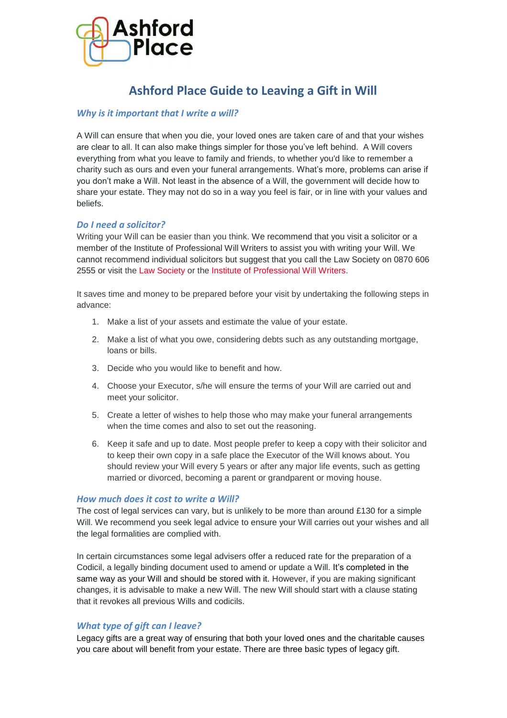

# **Ashford Place Guide to Leaving a Gift in Will**

# *Why is it important that I write a will?*

A Will can ensure that when you die, your loved ones are taken care of and that your wishes are clear to all. It can also make things simpler for those you've left behind. A Will covers everything from what you leave to family and friends, to whether you'd like to remember a charity such as ours and even your funeral arrangements. What's more, problems can arise if you don't make a Will. Not least in the absence of a Will, the government will decide how to share your estate. They may not do so in a way you feel is fair, or in line with your values and beliefs.

## *Do I need a solicitor?*

Writing your Will can be easier than you think. We recommend that you visit a solicitor or a member of the Institute of Professional Will Writers to assist you with writing your Will. We cannot recommend individual solicitors but suggest that you call the Law Society on 0870 606 2555 or visit the [Law Society](https://www.lawsociety.org.uk/) or the [Institute of Professional Will Writers.](http://www.ipw.org.uk/)

It saves time and money to be prepared before your visit by undertaking the following steps in advance:

- 1. Make a list of your assets and estimate the value of your estate.
- 2. Make a list of what you owe, considering debts such as any outstanding mortgage, loans or bills.
- 3. Decide who you would like to benefit and how.
- 4. Choose your Executor, s/he will ensure the terms of your Will are carried out and meet your solicitor.
- 5. Create a letter of wishes to help those who may make your funeral arrangements when the time comes and also to set out the reasoning.
- 6. Keep it safe and up to date. Most people prefer to keep a copy with their solicitor and to keep their own copy in a safe place the Executor of the Will knows about. You should review your Will every 5 years or after any major life events, such as getting married or divorced, becoming a parent or grandparent or moving house.

## *How much does it cost to write a Will?*

The cost of legal services can vary, but is unlikely to be more than around £130 for a simple Will. We recommend you seek legal advice to ensure your Will carries out your wishes and all the legal formalities are complied with.

In certain circumstances some legal advisers offer a reduced rate for the preparation of a Codicil, a legally binding document used to amend or update a Will. It's completed in the same way as your Will and should be stored with it. However, if you are making significant changes, it is advisable to make a new Will. The new Will should start with a clause stating that it revokes all previous Wills and codicils.

# *What type of gift can I leave?*

Legacy gifts are a great way of ensuring that both your loved ones and the charitable causes you care about will benefit from your estate. There are three basic types of legacy gift.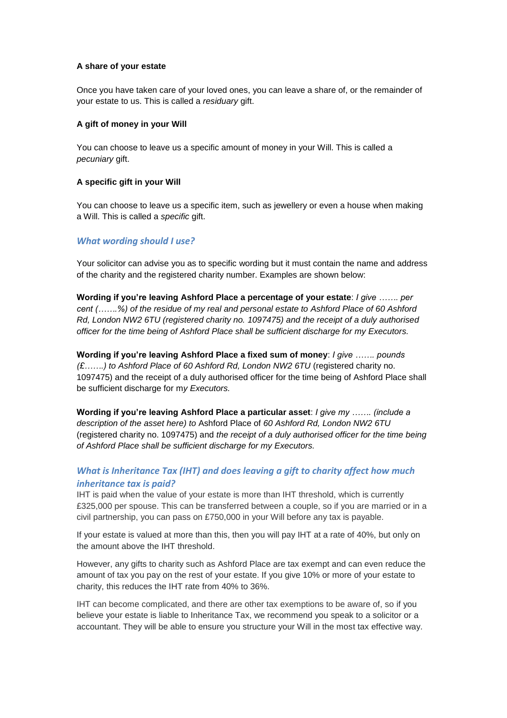### **A share of your estate**

Once you have taken care of your loved ones, you can leave a share of, or the remainder of your estate to us. This is called a *residuary* gift.

#### **A gift of money in your Will**

You can choose to leave us a specific amount of money in your Will. This is called a *pecuniary* gift.

#### **A specific gift in your Will**

You can choose to leave us a specific item, such as jewellery or even a house when making a Will. This is called a *specific* gift.

## *What wording should I use?*

Your solicitor can advise you as to specific wording but it must contain the name and address of the charity and the registered charity number. Examples are shown below:

**Wording if you're leaving Ashford Place a percentage of your estate**: *I give ……. per cent (…….%) of the residue of my real and personal estate to Ashford Place of 60 Ashford Rd, London NW2 6TU (registered charity no. 1097475) and the receipt of a duly authorised officer for the time being of Ashford Place shall be sufficient discharge for my Executors.*

**Wording if you're leaving Ashford Place a fixed sum of money**: *I give ……. pounds (£…….) to Ashford Place of 60 Ashford Rd, London NW2 6TU* (registered charity no. 1097475) and the receipt of a duly authorised officer for the time being of Ashford Place shall be sufficient discharge for m*y Executors.*

**Wording if you're leaving Ashford Place a particular asset**: *I give my ……. (include a description of the asset here) to* Ashford Place of *60 Ashford Rd, London NW2 6TU* (registered charity no. 1097475) and *the receipt of a duly authorised officer for the time being of Ashford Place shall be sufficient discharge for my Executors.*

## *What is Inheritance Tax (IHT) and does leaving a gift to charity affect how much inheritance tax is paid?*

IHT is paid when the value of your estate is more than IHT threshold, which is currently £325,000 per spouse. This can be transferred between a couple, so if you are married or in a civil partnership, you can pass on £750,000 in your Will before any tax is payable.

If your estate is valued at more than this, then you will pay IHT at a rate of 40%, but only on the amount above the IHT threshold.

However, any gifts to charity such as Ashford Place are tax exempt and can even reduce the amount of tax you pay on the rest of your estate. If you give 10% or more of your estate to charity, this reduces the IHT rate from 40% to 36%.

IHT can become complicated, and there are other tax exemptions to be aware of, so if you believe your estate is liable to Inheritance Tax, we recommend you speak to a solicitor or a accountant. They will be able to ensure you structure your Will in the most tax effective way.